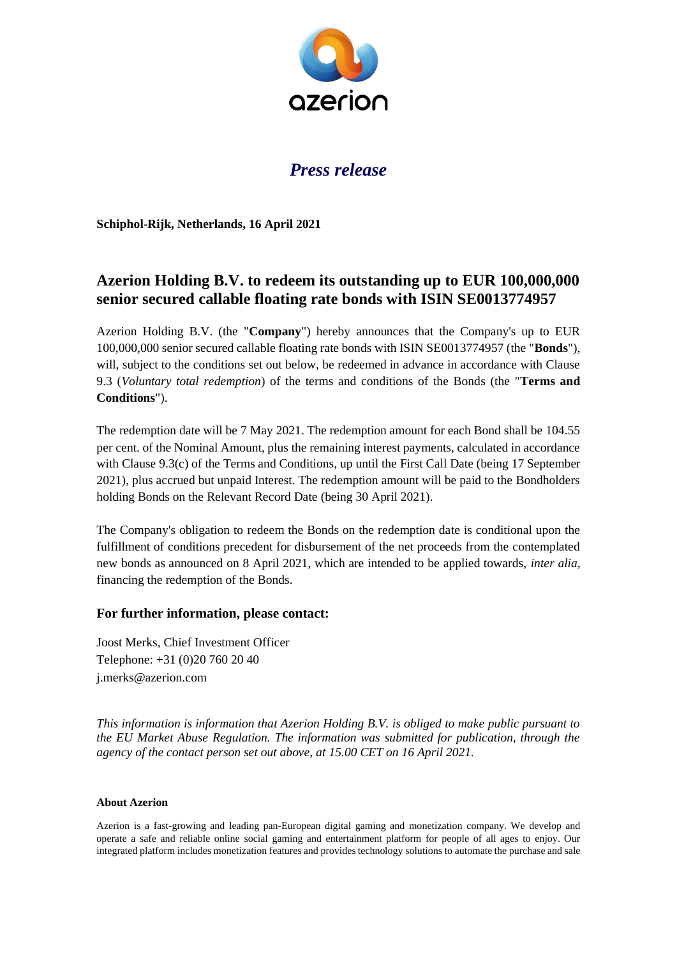

## *Press release*

**Schiphol-Rijk, Netherlands, 16 April 2021**

## **Azerion Holding B.V. to redeem its outstanding up to EUR 100,000,000 senior secured callable floating rate bonds with ISIN SE0013774957**

Azerion Holding B.V. (the "**Company**") hereby announces that the Company's up to EUR 100,000,000 senior secured callable floating rate bonds with ISIN SE0013774957 (the "**Bonds**"), will, subject to the conditions set out below, be redeemed in advance in accordance with Clause 9.3 (*Voluntary total redemption*) of the terms and conditions of the Bonds (the "**Terms and Conditions**").

The redemption date will be 7 May 2021. The redemption amount for each Bond shall be 104.55 per cent. of the Nominal Amount, plus the remaining interest payments, calculated in accordance with Clause 9.3(c) of the Terms and Conditions, up until the First Call Date (being 17 September 2021), plus accrued but unpaid Interest. The redemption amount will be paid to the Bondholders holding Bonds on the Relevant Record Date (being 30 April 2021).

The Company's obligation to redeem the Bonds on the redemption date is conditional upon the fulfillment of conditions precedent for disbursement of the net proceeds from the contemplated new bonds as announced on 8 April 2021, which are intended to be applied towards, *inter alia*, financing the redemption of the Bonds.

## **For further information, please contact:**

Joost Merks, Chief Investment Officer Telephone: +31 (0)20 760 20 40 j.merks@azerion.com

*This information is information that Azerion Holding B.V. is obliged to make public pursuant to the EU Market Abuse Regulation. The information was submitted for publication, through the agency of the contact person set out above, at 15.00 CET on 16 April 2021.*

## **About Azerion**

Azerion is a fast-growing and leading pan-European digital gaming and monetization company. We develop and operate a safe and reliable online social gaming and entertainment platform for people of all ages to enjoy. Our integrated platform includes monetization features and provides technology solutions to automate the purchase and sale